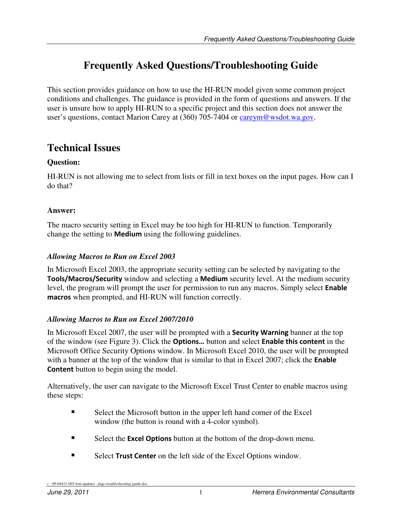# **Frequently Asked Questions/Troubleshooting Guide**

This section provides guidance on how to use the HI-RUN model given some common project conditions and challenges. The guidance is provided in the form of questions and answers. If the user is unsure how to apply HI-RUN to a specific project and this section does not answer the user's questions, contact Marion Carey at (360) 705-7404 or careym@wsdot.wa.gov.

## **Technical Issues**

### **Question:**

HI-RUN is not allowing me to select from lists or fill in text boxes on the input pages. How can I do that?

#### **Answer:**

The macro security setting in Excel may be too high for HI-RUN to function. Temporarily change the setting to Medium using the following guidelines.

#### *Allowing Macros to Run on Excel 2003*

In Microsoft Excel 2003, the appropriate security setting can be selected by navigating to the Tools/Macros/Security window and selecting a Medium security level. At the medium security level, the program will prompt the user for permission to run any macros. Simply select Enable macros when prompted, and HI-RUN will function correctly.

### *Allowing Macros to Run on Excel 2007/2010*

In Microsoft Excel 2007, the user will be prompted with a **Security Warning** banner at the top of the window (see Figure 3). Click the Options… button and select Enable this content in the Microsoft Office Security Options window. In Microsoft Excel 2010, the user will be prompted with a banner at the top of the window that is similar to that in Excel 2007; click the **Enable** Content button to begin using the model.

Alternatively, the user can navigate to the Microsoft Excel Trust Center to enable macros using these steps:

- Select the Microsoft button in the upper left hand corner of the Excel window (the button is round with a 4-color symbol).
- Select the **Excel Options** button at the bottom of the drop-down menu.
- Select Trust Center on the left side of the Excel Options window.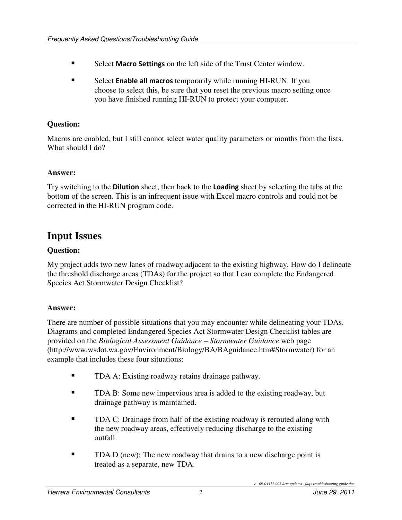- Select Macro Settings on the left side of the Trust Center window.
- Select **Enable all macros** temporarily while running HI-RUN. If you choose to select this, be sure that you reset the previous macro setting once you have finished running HI-RUN to protect your computer.

#### **Question:**

Macros are enabled, but I still cannot select water quality parameters or months from the lists. What should I do?

#### **Answer:**

Try switching to the **Dilution** sheet, then back to the **Loading** sheet by selecting the tabs at the bottom of the screen. This is an infrequent issue with Excel macro controls and could not be corrected in the HI-RUN program code.

## **Input Issues**

#### **Question:**

My project adds two new lanes of roadway adjacent to the existing highway. How do I delineate the threshold discharge areas (TDAs) for the project so that I can complete the Endangered Species Act Stormwater Design Checklist?

#### **Answer:**

There are number of possible situations that you may encounter while delineating your TDAs. Diagrams and completed Endangered Species Act Stormwater Design Checklist tables are provided on the *Biological Assessment Guidance – Stormwater Guidance* web page (http://www.wsdot.wa.gov/Environment/Biology/BA/BAguidance.htm#Stormwater) for an example that includes these four situations:

- TDA A: Existing roadway retains drainage pathway.
- **TDA B:** Some new impervious area is added to the existing roadway, but drainage pathway is maintained.
- **TDA C:** Drainage from half of the existing roadway is rerouted along with the new roadway areas, effectively reducing discharge to the existing outfall.
- TDA D (new): The new roadway that drains to a new discharge point is treated as a separate, new TDA.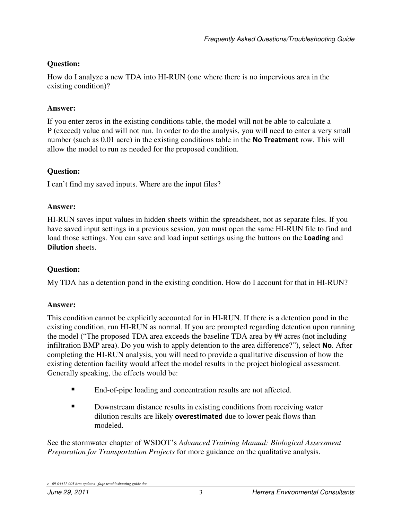## **Question:**

How do I analyze a new TDA into HI-RUN (one where there is no impervious area in the existing condition)?

## **Answer:**

If you enter zeros in the existing conditions table, the model will not be able to calculate a P (exceed) value and will not run. In order to do the analysis, you will need to enter a very small number (such as 0.01 acre) in the existing conditions table in the **No Treatment** row. This will allow the model to run as needed for the proposed condition.

## **Question:**

I can't find my saved inputs. Where are the input files?

## **Answer:**

HI-RUN saves input values in hidden sheets within the spreadsheet, not as separate files. If you have saved input settings in a previous session, you must open the same HI-RUN file to find and load those settings. You can save and load input settings using the buttons on the **Loading** and Dilution sheets.

## **Question:**

My TDA has a detention pond in the existing condition. How do I account for that in HI-RUN?

## **Answer:**

This condition cannot be explicitly accounted for in HI-RUN. If there is a detention pond in the existing condition, run HI-RUN as normal. If you are prompted regarding detention upon running the model ("The proposed TDA area exceeds the baseline TDA area by ## acres (not including infiltration BMP area). Do you wish to apply detention to the area difference?"), select No. After completing the HI-RUN analysis, you will need to provide a qualitative discussion of how the existing detention facility would affect the model results in the project biological assessment. Generally speaking, the effects would be:

- End-of-pipe loading and concentration results are not affected.
- Downstream distance results in existing conditions from receiving water dilution results are likely **overestimated** due to lower peak flows than modeled.

See the stormwater chapter of WSDOT's *Advanced Training Manual: Biological Assessment Preparation for Transportation Projects* for more guidance on the qualitative analysis.